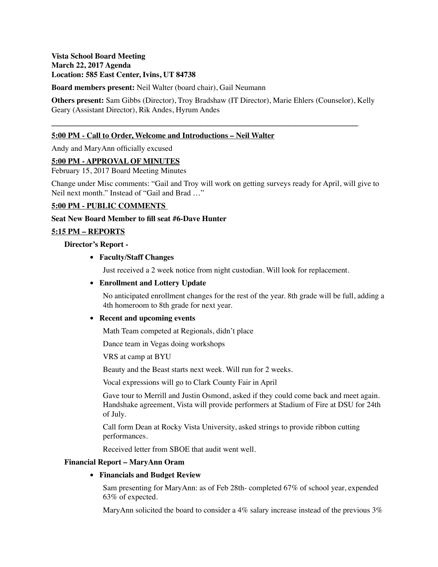# **Vista School Board Meeting March 22, 2017 Agenda Location: 585 East Center, Ivins, UT 84738**

**Board members present:** Neil Walter (board chair), Gail Neumann

**Others present:** Sam Gibbs (Director), Troy Bradshaw (IT Director), Marie Ehlers (Counselor), Kelly Geary (Assistant Director), Rik Andes, Hyrum Andes

**\_\_\_\_\_\_\_\_\_\_\_\_\_\_\_\_\_\_\_\_\_\_\_\_\_\_\_\_\_\_\_\_\_\_\_\_\_\_\_\_\_\_\_\_\_\_\_\_\_\_\_\_\_\_\_\_\_\_\_\_\_\_\_\_\_\_\_\_\_\_\_\_\_\_\_\_\_\_**

# **5:00 PM - Call to Order, Welcome and Introductions – Neil Walter**

Andy and MaryAnn officially excused

### **5:00 PM - APPROVAL OF MINUTES**

February 15, 2017 Board Meeting Minutes

Change under Misc comments: "Gail and Troy will work on getting surveys ready for April, will give to Neil next month." Instead of "Gail and Brad …"

### **5:00 PM - PUBLIC COMMENTS**

**Seat New Board Member to fill seat #6-Dave Hunter**

### **5:15 PM – REPORTS**

**Director's Report -** 

### **• Faculty/Staff Changes**

Just received a 2 week notice from night custodian. Will look for replacement.

## **• Enrollment and Lottery Update**

No anticipated enrollment changes for the rest of the year. 8th grade will be full, adding a 4th homeroom to 8th grade for next year.

#### **• Recent and upcoming events**

Math Team competed at Regionals, didn't place

Dance team in Vegas doing workshops

VRS at camp at BYU

Beauty and the Beast starts next week. Will run for 2 weeks.

Vocal expressions will go to Clark County Fair in April

Gave tour to Merrill and Justin Osmond, asked if they could come back and meet again. Handshake agreement, Vista will provide performers at Stadium of Fire at DSU for 24th of July.

Call form Dean at Rocky Vista University, asked strings to provide ribbon cutting performances.

Received letter from SBOE that audit went well.

#### **Financial Report – MaryAnn Oram**

## **• Financials and Budget Review**

Sam presenting for MaryAnn: as of Feb 28th- completed 67% of school year, expended 63% of expected.

MaryAnn solicited the board to consider a 4% salary increase instead of the previous  $3\%$